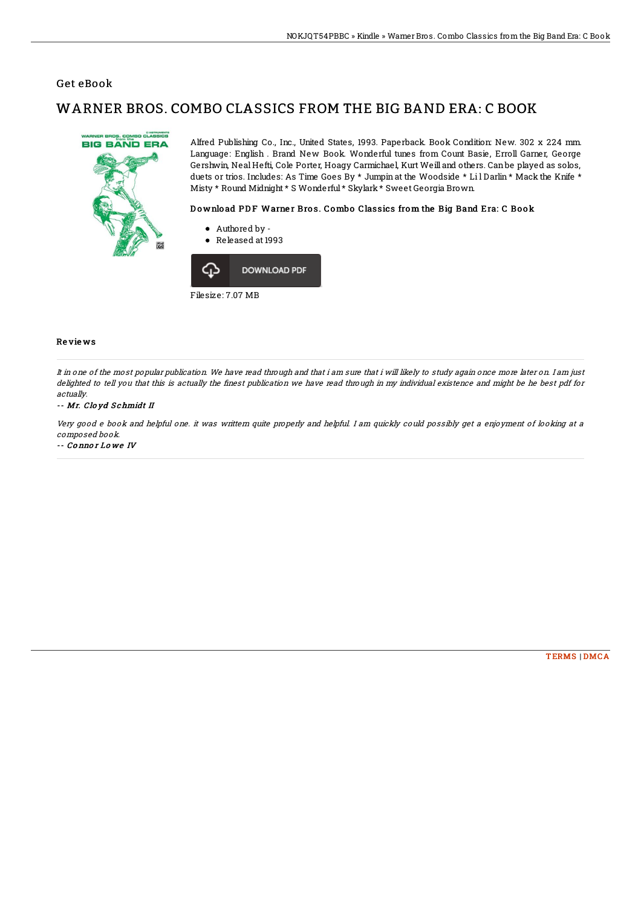### Get eBook

# WARNER BROS. COMBO CLASSICS FROM THE BIG BAND ERA: C BOOK



Alfred Publishing Co., Inc., United States, 1993. Paperback. Book Condition: New. 302 x 224 mm. Language: English . Brand New Book. Wonderful tunes from Count Basie, Erroll Garner, George Gershwin, Neal Hefti, Cole Porter, Hoagy Carmichael, Kurt Weill and others. Canbe played as solos, duets or trios. Includes: As Time Goes By \* Jumpin at the Woodside \* Li l Darlin \* Mack the Knife \* Misty \* Round Midnight \* S Wonderful \* Skylark\* Sweet Georgia Brown.

#### Download PDF Warner Bros. Combo Classics from the Big Band Era: C Book

- Authored by -
- Released at 1993



#### Re vie ws

It in one of the most popular publication. We have read through and that i am sure that i will likely to study again once more later on. I am just delighted to tell you that this is actually the finest publication we have read through in my individual existence and might be he best pdf for actually.

#### -- Mr. Clo yd S chmidt II

Very good <sup>e</sup> book and helpful one. it was writtern quite properly and helpful. I am quickly could possibly get <sup>a</sup> enjoyment of looking at <sup>a</sup> composed book.

-- Co nno r Lo we IV